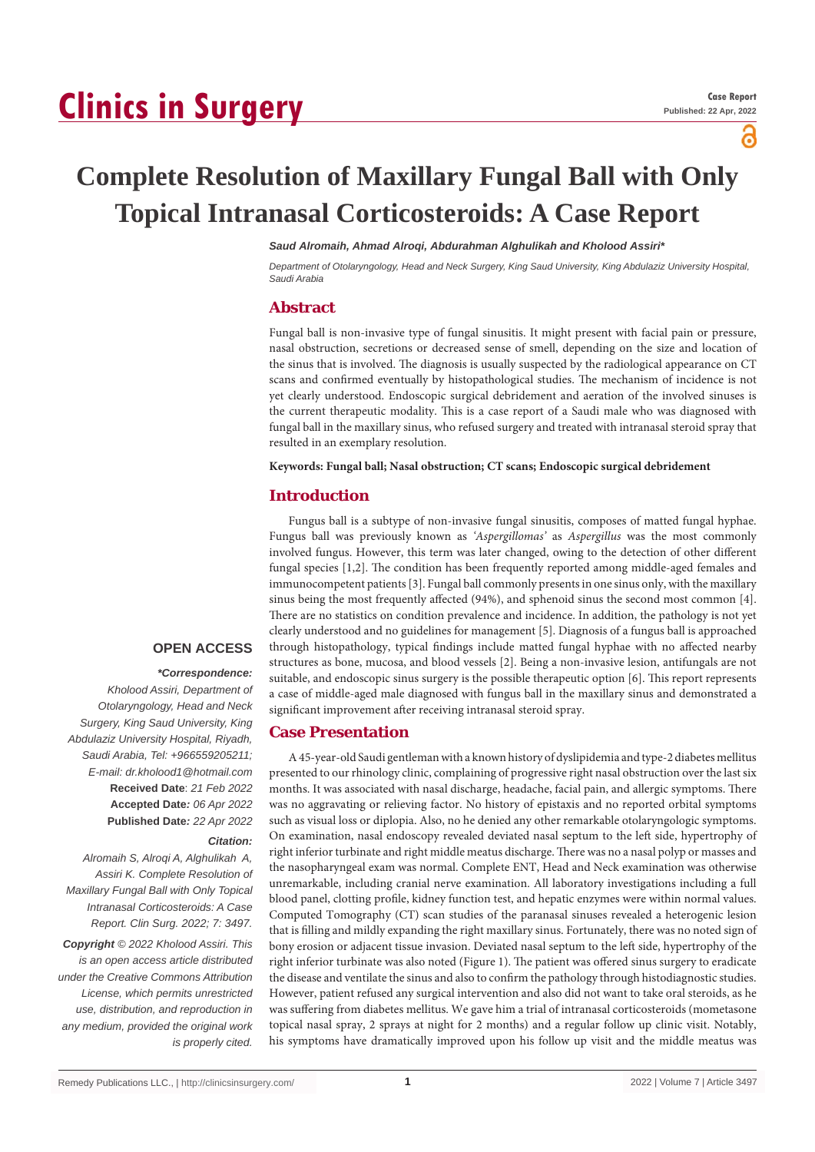# **Clinics in Surgery**

പ്പ

# **Complete Resolution of Maxillary Fungal Ball with Only Topical Intranasal Corticosteroids: A Case Report**

#### *Saud Alromaih, Ahmad Alroqi, Abdurahman Alghulikah and Kholood Assiri\**

*Department of Otolaryngology, Head and Neck Surgery, King Saud University, King Abdulaziz University Hospital, Saudi Arabia*

## **Abstract**

Fungal ball is non-invasive type of fungal sinusitis. It might present with facial pain or pressure, nasal obstruction, secretions or decreased sense of smell, depending on the size and location of the sinus that is involved. The diagnosis is usually suspected by the radiological appearance on CT scans and confirmed eventually by histopathological studies. The mechanism of incidence is not yet clearly understood. Endoscopic surgical debridement and aeration of the involved sinuses is the current therapeutic modality. This is a case report of a Saudi male who was diagnosed with fungal ball in the maxillary sinus, who refused surgery and treated with intranasal steroid spray that resulted in an exemplary resolution.

#### **Keywords: Fungal ball; Nasal obstruction; CT scans; Endoscopic surgical debridement**

#### **Introduction**

Fungus ball is a subtype of non-invasive fungal sinusitis, composes of matted fungal hyphae. Fungus ball was previously known as *'Aspergillomas'* as *Aspergillus* was the most commonly involved fungus. However, this term was later changed, owing to the detection of other different fungal species [1,2]. The condition has been frequently reported among middle-aged females and immunocompetent patients [3]. Fungal ball commonly presents in one sinus only, with the maxillary sinus being the most frequently affected (94%), and sphenoid sinus the second most common [4]. There are no statistics on condition prevalence and incidence. In addition, the pathology is not yet clearly understood and no guidelines for management [5]. Diagnosis of a fungus ball is approached through histopathology, typical findings include matted fungal hyphae with no affected nearby structures as bone, mucosa, and blood vessels [2]. Being a non-invasive lesion, antifungals are not suitable, and endoscopic sinus surgery is the possible therapeutic option [6]. This report represents a case of middle-aged male diagnosed with fungus ball in the maxillary sinus and demonstrated a significant improvement after receiving intranasal steroid spray.

#### **Case Presentation**

A 45-year-old Saudi gentleman with a known history of dyslipidemia and type-2 diabetes mellitus presented to our rhinology clinic, complaining of progressive right nasal obstruction over the last six months. It was associated with nasal discharge, headache, facial pain, and allergic symptoms. There was no aggravating or relieving factor. No history of epistaxis and no reported orbital symptoms such as visual loss or diplopia. Also, no he denied any other remarkable otolaryngologic symptoms. On examination, nasal endoscopy revealed deviated nasal septum to the left side, hypertrophy of right inferior turbinate and right middle meatus discharge. There was no a nasal polyp or masses and the nasopharyngeal exam was normal. Complete ENT, Head and Neck examination was otherwise unremarkable, including cranial nerve examination. All laboratory investigations including a full blood panel, clotting profile, kidney function test, and hepatic enzymes were within normal values. Computed Tomography (CT) scan studies of the paranasal sinuses revealed a heterogenic lesion that is filling and mildly expanding the right maxillary sinus. Fortunately, there was no noted sign of bony erosion or adjacent tissue invasion. Deviated nasal septum to the left side, hypertrophy of the right inferior turbinate was also noted (Figure 1). The patient was offered sinus surgery to eradicate the disease and ventilate the sinus and also to confirm the pathology through histodiagnostic studies. However, patient refused any surgical intervention and also did not want to take oral steroids, as he was suffering from diabetes mellitus. We gave him a trial of intranasal corticosteroids (mometasone topical nasal spray, 2 sprays at night for 2 months) and a regular follow up clinic visit. Notably, his symptoms have dramatically improved upon his follow up visit and the middle meatus was

**OPEN ACCESS**

#### *\*Correspondence:*

*Kholood Assiri, Department of Otolaryngology, Head and Neck Surgery, King Saud University, King Abdulaziz University Hospital, Riyadh, Saudi Arabia, Tel: +966559205211; E-mail: dr.kholood1@hotmail.com* **Received Date**: *21 Feb 2022* **Accepted Date***: 06 Apr 2022* **Published Date***: 22 Apr 2022*

#### *Citation:*

*Alromaih S, Alroqi A, Alghulikah A, Assiri K. Complete Resolution of Maxillary Fungal Ball with Only Topical Intranasal Corticosteroids: A Case Report. Clin Surg. 2022; 7: 3497.*

*Copyright © 2022 Kholood Assiri. This is an open access article distributed under the Creative Commons Attribution License, which permits unrestricted use, distribution, and reproduction in any medium, provided the original work is properly cited.*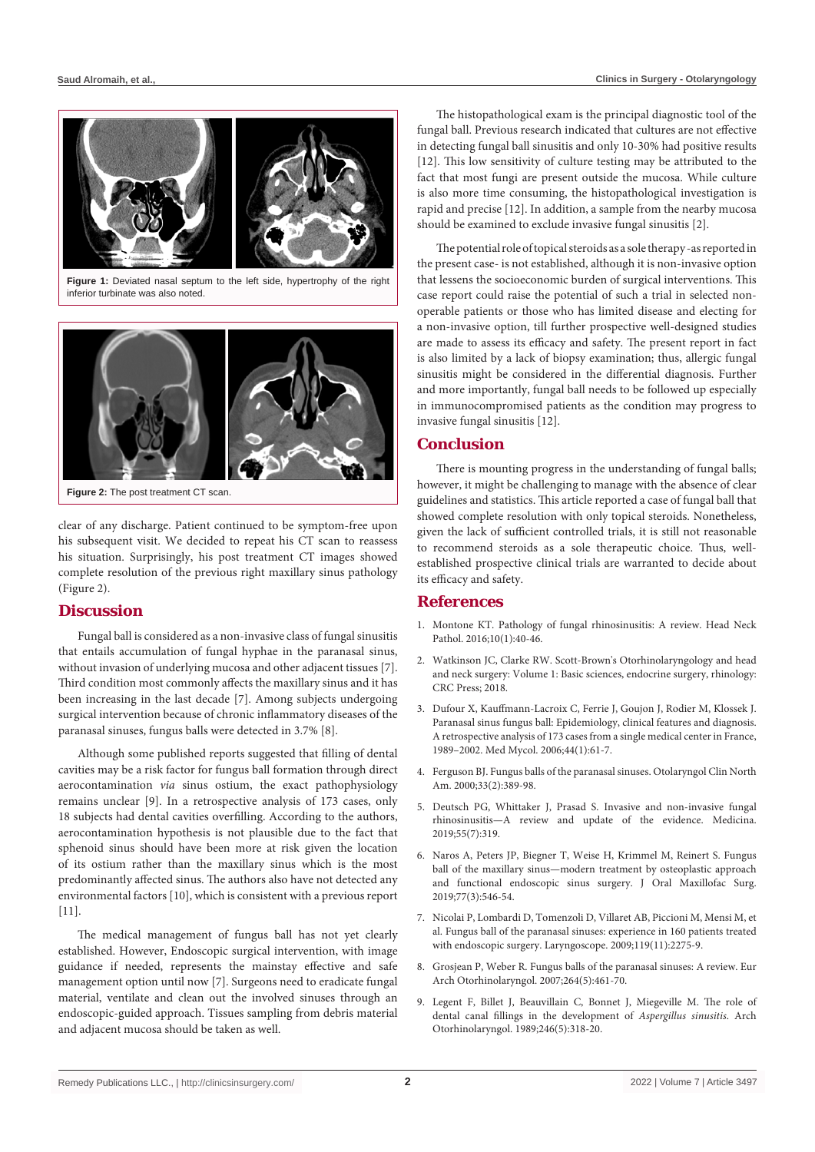

**Figure 1:** Deviated nasal septum to the left side, hypertrophy of the right inferior turbinate was also noted.



**Figure 2:** The post treatment CT scan.

clear of any discharge. Patient continued to be symptom-free upon his subsequent visit. We decided to repeat his CT scan to reassess his situation. Surprisingly, his post treatment CT images showed complete resolution of the previous right maxillary sinus pathology (Figure 2).

### **Discussion**

Fungal ball is considered as a non-invasive class of fungal sinusitis that entails accumulation of fungal hyphae in the paranasal sinus, without invasion of underlying mucosa and other adjacent tissues [7]. Third condition most commonly affects the maxillary sinus and it has been increasing in the last decade [7]. Among subjects undergoing surgical intervention because of chronic inflammatory diseases of the paranasal sinuses, fungus balls were detected in 3.7% [8].

Although some published reports suggested that filling of dental cavities may be a risk factor for fungus ball formation through direct aerocontamination *via* sinus ostium, the exact pathophysiology remains unclear [9]. In a retrospective analysis of 173 cases, only 18 subjects had dental cavities overfilling. According to the authors, aerocontamination hypothesis is not plausible due to the fact that sphenoid sinus should have been more at risk given the location of its ostium rather than the maxillary sinus which is the most predominantly affected sinus. The authors also have not detected any environmental factors [10], which is consistent with a previous report [11].

The medical management of fungus ball has not yet clearly established. However, Endoscopic surgical intervention, with image guidance if needed, represents the mainstay effective and safe management option until now [7]. Surgeons need to eradicate fungal material, ventilate and clean out the involved sinuses through an endoscopic-guided approach. Tissues sampling from debris material and adjacent mucosa should be taken as well.

The histopathological exam is the principal diagnostic tool of the fungal ball. Previous research indicated that cultures are not effective in detecting fungal ball sinusitis and only 10-30% had positive results [12]. This low sensitivity of culture testing may be attributed to the fact that most fungi are present outside the mucosa. While culture is also more time consuming, the histopathological investigation is rapid and precise [12]. In addition, a sample from the nearby mucosa should be examined to exclude invasive fungal sinusitis [2].

The potential role of topical steroids as a sole therapy -as reported in the present case- is not established, although it is non-invasive option that lessens the socioeconomic burden of surgical interventions. This case report could raise the potential of such a trial in selected nonoperable patients or those who has limited disease and electing for a non-invasive option, till further prospective well-designed studies are made to assess its efficacy and safety. The present report in fact is also limited by a lack of biopsy examination; thus, allergic fungal sinusitis might be considered in the differential diagnosis. Further and more importantly, fungal ball needs to be followed up especially in immunocompromised patients as the condition may progress to invasive fungal sinusitis [12].

#### **Conclusion**

There is mounting progress in the understanding of fungal balls; however, it might be challenging to manage with the absence of clear guidelines and statistics. This article reported a case of fungal ball that showed complete resolution with only topical steroids. Nonetheless, given the lack of sufficient controlled trials, it is still not reasonable to recommend steroids as a sole therapeutic choice. Thus, wellestablished prospective clinical trials are warranted to decide about its efficacy and safety.

#### **References**

- 1. [Montone KT. Pathology of fungal rhinosinusitis: A review. Head Neck](https://pubmed.ncbi.nlm.nih.gov/26830404/)  [Pathol. 2016;10\(1\):40-46.](https://pubmed.ncbi.nlm.nih.gov/26830404/)
- 2. [Watkinson JC, Clarke RW. Scott-Brown's Otorhinolaryngology and head](https://www.amazon.in/Scott-Browns-Otorhinolaryngology-Head-Neck-Surgery/dp/1138094617)  [and neck surgery: Volume 1: Basic sciences, endocrine surgery, rhinology:](https://www.amazon.in/Scott-Browns-Otorhinolaryngology-Head-Neck-Surgery/dp/1138094617)  [CRC Press; 2018.](https://www.amazon.in/Scott-Browns-Otorhinolaryngology-Head-Neck-Surgery/dp/1138094617)
- 3. [Dufour X, Kauffmann-Lacroix C, Ferrie J, Goujon J, Rodier M, Klossek J.](https://pubmed.ncbi.nlm.nih.gov/16805094/)  [Paranasal sinus fungus ball: Epidemiology, clinical features and diagnosis.](https://pubmed.ncbi.nlm.nih.gov/16805094/)  [A retrospective analysis of 173 cases from a single medical center in France,](https://pubmed.ncbi.nlm.nih.gov/16805094/)  [1989–2002. Med Mycol. 2006;44\(1\):61-7.](https://pubmed.ncbi.nlm.nih.gov/16805094/)
- 4. [Ferguson BJ. Fungus balls of the paranasal sinuses. Otolaryngol Clin North](https://pubmed.ncbi.nlm.nih.gov/10736412/)  [Am. 2000;33\(2\):389-98.](https://pubmed.ncbi.nlm.nih.gov/10736412/)
- 5. [Deutsch PG, Whittaker J, Prasad S. Invasive and non-invasive fungal](https://pubmed.ncbi.nlm.nih.gov/31261788/)  [rhinosinusitis—A review and update of the evidence. Medicina.](https://pubmed.ncbi.nlm.nih.gov/31261788/)  [2019;55\(7\):319.](https://pubmed.ncbi.nlm.nih.gov/31261788/)
- 6. [Naros A, Peters JP, Biegner T, Weise H, Krimmel M, Reinert S. Fungus](https://pubmed.ncbi.nlm.nih.gov/30448431/)  [ball of the maxillary sinus—modern treatment by osteoplastic approach](https://pubmed.ncbi.nlm.nih.gov/30448431/)  [and functional endoscopic sinus surgery. J Oral Maxillofac Surg.](https://pubmed.ncbi.nlm.nih.gov/30448431/)  [2019;77\(3\):546-54.](https://pubmed.ncbi.nlm.nih.gov/30448431/)
- 7. [Nicolai P, Lombardi D, Tomenzoli D, Villaret AB, Piccioni M, Mensi M, et](https://pubmed.ncbi.nlm.nih.gov/19688860/)  [al. Fungus ball of the paranasal sinuses: experience in 160 patients treated](https://pubmed.ncbi.nlm.nih.gov/19688860/)  [with endoscopic surgery. Laryngoscope. 2009;119\(11\):2275-9.](https://pubmed.ncbi.nlm.nih.gov/19688860/)
- 8. [Grosjean P, Weber R. Fungus balls of the paranasal sinuses: A review. Eur](https://pubmed.ncbi.nlm.nih.gov/17361410/)  [Arch Otorhinolaryngol. 2007;264\(5\):461-70.](https://pubmed.ncbi.nlm.nih.gov/17361410/)
- 9. [Legent F, Billet J, Beauvillain C, Bonnet J, Miegeville M. The role of](https://pubmed.ncbi.nlm.nih.gov/2686596/#:~:text=An image of intrasinus dental,the growth of Aspergillus fumigatus.)  [dental canal fillings in the development of](https://pubmed.ncbi.nlm.nih.gov/2686596/#:~:text=An image of intrasinus dental,the growth of Aspergillus fumigatus.) *Aspergillus sinusitis*. Arch [Otorhinolaryngol. 1989;246\(5\):318-20.](https://pubmed.ncbi.nlm.nih.gov/2686596/#:~:text=An image of intrasinus dental,the growth of Aspergillus fumigatus.)